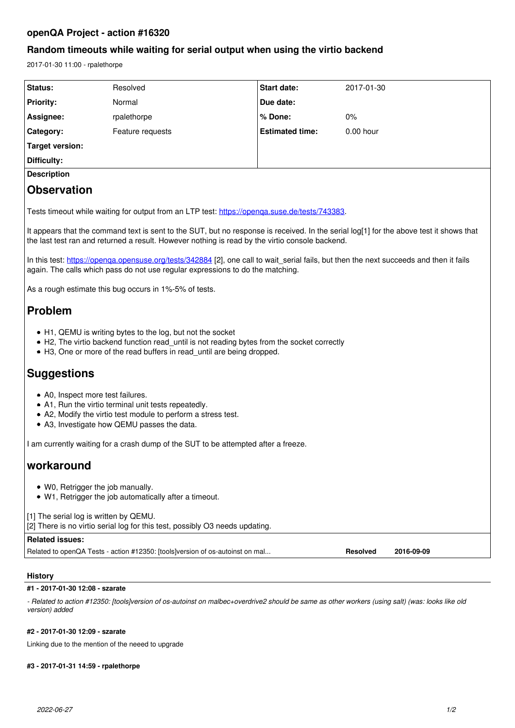# **openQA Project - action #16320**

# **Random timeouts while waiting for serial output when using the virtio backend**

2017-01-30 11:00 - rpalethorpe

| Status:                                                                                                                                                                                                                                    | Resolved                                                                      | Start date:            | 2017-01-30                    |
|--------------------------------------------------------------------------------------------------------------------------------------------------------------------------------------------------------------------------------------------|-------------------------------------------------------------------------------|------------------------|-------------------------------|
| <b>Priority:</b>                                                                                                                                                                                                                           | Normal                                                                        | Due date:              |                               |
| Assignee:                                                                                                                                                                                                                                  | rpalethorpe                                                                   | % Done:                | 0%                            |
| Category:                                                                                                                                                                                                                                  | Feature requests                                                              | <b>Estimated time:</b> | $0.00$ hour                   |
| <b>Target version:</b>                                                                                                                                                                                                                     |                                                                               |                        |                               |
| <b>Difficulty:</b>                                                                                                                                                                                                                         |                                                                               |                        |                               |
| <b>Description</b>                                                                                                                                                                                                                         |                                                                               |                        |                               |
| <b>Observation</b>                                                                                                                                                                                                                         |                                                                               |                        |                               |
| Tests timeout while waiting for output from an LTP test: https://openga.suse.de/tests/743383.                                                                                                                                              |                                                                               |                        |                               |
| It appears that the command text is sent to the SUT, but no response is received. In the serial log[1] for the above test it shows that<br>the last test ran and returned a result. However nothing is read by the virtio console backend. |                                                                               |                        |                               |
| In this test: https://openga.opensuse.org/tests/342884 [2], one call to wait_serial fails, but then the next succeeds and then it fails<br>again. The calls which pass do not use regular expressions to do the matching.                  |                                                                               |                        |                               |
| As a rough estimate this bug occurs in 1%-5% of tests.                                                                                                                                                                                     |                                                                               |                        |                               |
| <b>Problem</b>                                                                                                                                                                                                                             |                                                                               |                        |                               |
| • H1, QEMU is writing bytes to the log, but not the socket<br>• H2, The virtio backend function read_until is not reading bytes from the socket correctly<br>• H3, One or more of the read buffers in read_until are being dropped.        |                                                                               |                        |                               |
| <b>Suggestions</b>                                                                                                                                                                                                                         |                                                                               |                        |                               |
| • A0, Inspect more test failures.<br>• A1, Run the virtio terminal unit tests repeatedly.<br>• A2, Modify the virtio test module to perform a stress test.<br>• A3, Investigate how QEMU passes the data.                                  |                                                                               |                        |                               |
| I am currently waiting for a crash dump of the SUT to be attempted after a freeze.                                                                                                                                                         |                                                                               |                        |                               |
| workaround                                                                                                                                                                                                                                 |                                                                               |                        |                               |
| • W0, Retrigger the job manually.<br>• W1, Retrigger the job automatically after a timeout.                                                                                                                                                |                                                                               |                        |                               |
| [1] The serial log is written by QEMU.<br>[2] There is no virtio serial log for this test, possibly O3 needs updating.                                                                                                                     |                                                                               |                        |                               |
| <b>Related issues:</b>                                                                                                                                                                                                                     |                                                                               |                        |                               |
|                                                                                                                                                                                                                                            | Related to openQA Tests - action #12350: [tools]version of os-autoinst on mal |                        | <b>Resolved</b><br>2016-09-09 |

# **History**

## **#1 - 2017-01-30 12:08 - szarate**

*- Related to action #12350: [tools]version of os-autoinst on malbec+overdrive2 should be same as other workers (using salt) (was: looks like old version) added*

## **#2 - 2017-01-30 12:09 - szarate**

Linking due to the mention of the neeed to upgrade

# **#3 - 2017-01-31 14:59 - rpalethorpe**